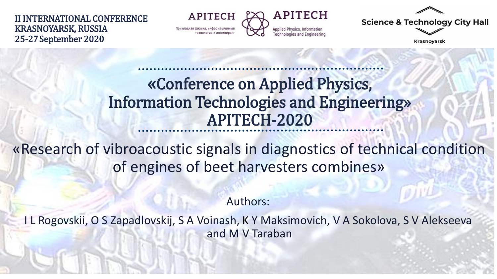II INTERNATIONAL CONFERENCE KRASNOYARSK, RUSSIA 25-27September 2020

**APITECH** Прикладная физика, информационны



**Science & Technology City Hall** 

Krasnoyarsk

### «Conference on Applied Physics, Information Technologies and Engineering» APITECH-2020

«Research of vibroacoustic signals in diagnostics of technical condition of engines of beet harvesters combines»

Authors:

I L Rogovskii, O S Zapadlovskij, S A Voinash, K Y Maksimovich, V A Sokolova, S V Alekseeva and M V Taraban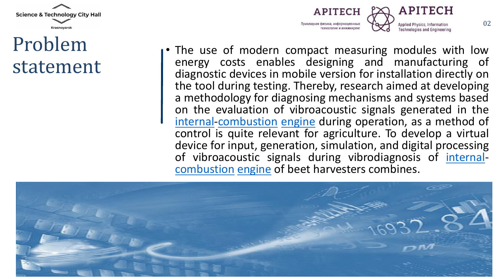

## Problem statement



02

• The use of modern compact measuring modules with low energy costs enables designing and manufacturing of diagnostic devices in mobile version for installation directly on the tool during testing. Thereby, research aimed at developing a methodology for diagnosing mechanisms and systems based on the evaluation of vibroacoustic signals generated in the [internal](https://wooordhunt.ru/word/internal)[-combustion](https://wooordhunt.ru/word/combustion) [engine](https://wooordhunt.ru/word/engine) during operation, as a method of control is quite relevant for agriculture. To develop a virtual device for input, generation, simulation, and digital processing of vibroacoustic signals during vibrodiagnosis of [internal](https://wooordhunt.ru/word/internal)[combustion](https://wooordhunt.ru/word/combustion) [engine](https://wooordhunt.ru/word/engine) of beet harvesters combines.

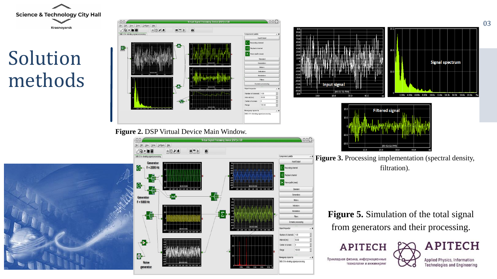

# Solution methods



03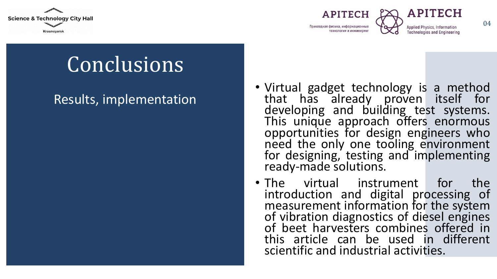





**Technologies and Engineerin** 

# **Conclusions**

#### Results, implementation

- Virtual gadget technology is a method that has already proven itself for developing and building test systems. This unique approach offers enormous opportunities for design engineers who need the only one tooling environment for designing, testing and implementing ready-made solutions.
- The virtual instrument for the introduction and digital processing of measurement information for the system of vibration diagnostics of diesel engines of beet harvesters combines offered in this article can be used in different scientific and industrial activities.